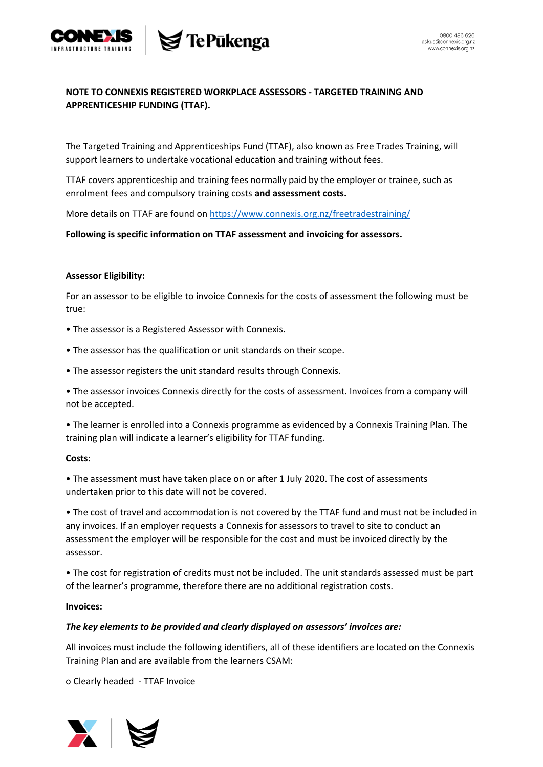

## **NOTE TO CONNEXIS REGISTERED WORKPLACE ASSESSORS - TARGETED TRAINING AND APPRENTICESHIP FUNDING (TTAF).**

The Targeted Training and Apprenticeships Fund (TTAF), also known as Free Trades Training, will support learners to undertake vocational education and training without fees.

TTAF covers apprenticeship and training fees normally paid by the employer or trainee, such as enrolment fees and compulsory training costs **and assessment costs.**

More details on TTAF are found on<https://www.connexis.org.nz/freetradestraining/>

**Following is specific information on TTAF assessment and invoicing for assessors.**

### **Assessor Eligibility:**

For an assessor to be eligible to invoice Connexis for the costs of assessment the following must be true:

- The assessor is a Registered Assessor with Connexis.
- The assessor has the qualification or unit standards on their scope.
- The assessor registers the unit standard results through Connexis.

• The assessor invoices Connexis directly for the costs of assessment. Invoices from a company will not be accepted.

• The learner is enrolled into a Connexis programme as evidenced by a Connexis Training Plan. The training plan will indicate a learner's eligibility for TTAF funding.

#### **Costs:**

• The assessment must have taken place on or after 1 July 2020. The cost of assessments undertaken prior to this date will not be covered.

• The cost of travel and accommodation is not covered by the TTAF fund and must not be included in any invoices. If an employer requests a Connexis for assessors to travel to site to conduct an assessment the employer will be responsible for the cost and must be invoiced directly by the assessor.

• The cost for registration of credits must not be included. The unit standards assessed must be part of the learner's programme, therefore there are no additional registration costs.

#### **Invoices:**

#### *The key elements to be provided and clearly displayed on assessors' invoices are:*

All invoices must include the following identifiers, all of these identifiers are located on the Connexis Training Plan and are available from the learners CSAM:

o Clearly headed - TTAF Invoice